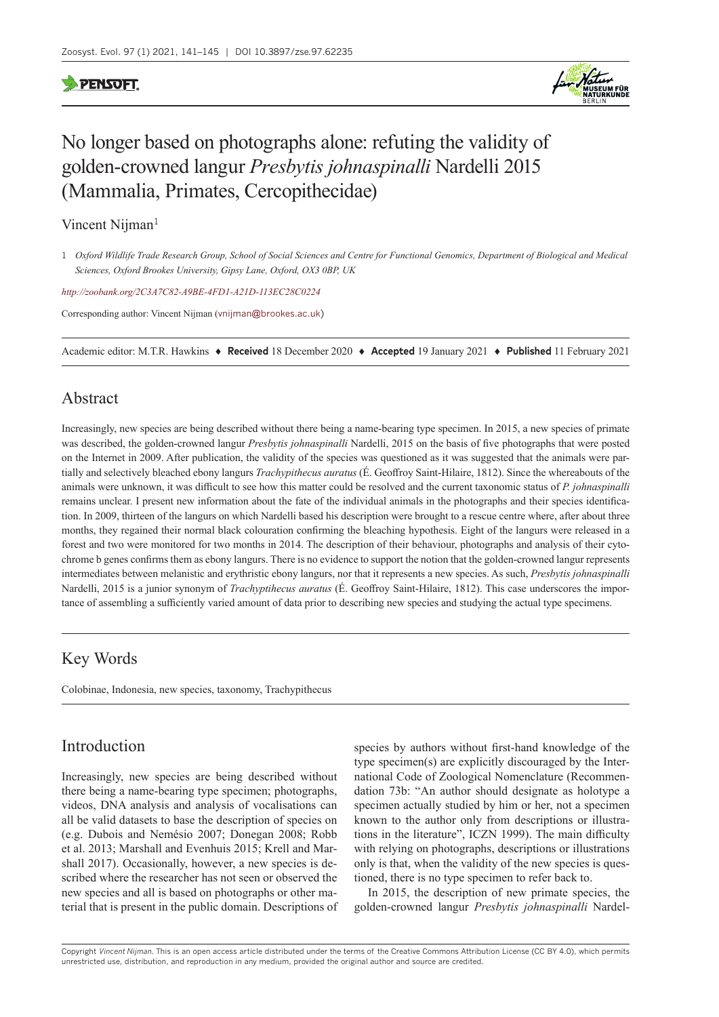## **PENSOFT**



# No longer based on photographs alone: refuting the validity of golden-crowned langur *Presbytis johnaspinalli* Nardelli 2015 (Mammalia, Primates, Cercopithecidae)

Vincent Nijman<sup>1</sup>

*<http://zoobank.org/2C3A7C82-A9BE-4FD1-A21D-113EC28C0224>*

Corresponding author: Vincent Nijman ([vnijman@brookes.ac.uk](mailto:vnijman@brookes.ac.uk))

Academic editor: M.T.R. Hawkins ♦ **Received** 18 December 2020 ♦ **Accepted** 19 January 2021 ♦ **Published** 11 February 2021

#### Abstract

Increasingly, new species are being described without there being a name-bearing type specimen. In 2015, a new species of primate was described, the golden-crowned langur *Presbytis johnaspinalli* Nardelli, 2015 on the basis of five photographs that were posted on the Internet in 2009. After publication, the validity of the species was questioned as it was suggested that the animals were partially and selectively bleached ebony langurs *Trachypithecus auratus* (É. Geoffroy Saint-Hilaire, 1812). Since the whereabouts of the animals were unknown, it was difficult to see how this matter could be resolved and the current taxonomic status of *P. johnaspinalli* remains unclear. I present new information about the fate of the individual animals in the photographs and their species identification. In 2009, thirteen of the langurs on which Nardelli based his description were brought to a rescue centre where, after about three months, they regained their normal black colouration confirming the bleaching hypothesis. Eight of the langurs were released in a forest and two were monitored for two months in 2014. The description of their behaviour, photographs and analysis of their cytochrome b genes confirms them as ebony langurs. There is no evidence to support the notion that the golden-crowned langur represents intermediates between melanistic and erythristic ebony langurs, nor that it represents a new species. As such, *Presbytis johnaspinalli* Nardelli, 2015 is a junior synonym of *Trachyptihecus auratus* (É. Geoffroy Saint-Hilaire, 1812). This case underscores the importance of assembling a sufficiently varied amount of data prior to describing new species and studying the actual type specimens.

## Key Words

Colobinae, Indonesia, new species, taxonomy, Trachypithecus

## Introduction

Increasingly, new species are being described without there being a name-bearing type specimen; photographs, videos, DNA analysis and analysis of vocalisations can all be valid datasets to base the description of species on (e.g. Dubois and Nemésio 2007; Donegan 2008; Robb et al. 2013; Marshall and Evenhuis 2015; Krell and Marshall 2017). Occasionally, however, a new species is described where the researcher has not seen or observed the new species and all is based on photographs or other material that is present in the public domain. Descriptions of species by authors without first-hand knowledge of the type specimen(s) are explicitly discouraged by the International Code of Zoological Nomenclature (Recommendation 73b: "An author should designate as holotype a specimen actually studied by him or her, not a specimen known to the author only from descriptions or illustrations in the literature", ICZN 1999). The main difficulty with relying on photographs, descriptions or illustrations only is that, when the validity of the new species is questioned, there is no type specimen to refer back to.

In 2015, the description of new primate species, the golden-crowned langur *Presbytis johnaspinalli* Nardel-

Copyright *Vincent Nijman.* This is an open access article distributed under the terms of the [Creative Commons Attribution License \(CC BY 4.0\)](http://creativecommons.org/licenses/by/4.0/), which permits unrestricted use, distribution, and reproduction in any medium, provided the original author and source are credited.

<sup>1</sup> *Oxford Wildlife Trade Research Group, School of Social Sciences and Centre for Functional Genomics, Department of Biological and Medical Sciences, Oxford Brookes University, Gipsy Lane, Oxford, OX3 0BP, UK*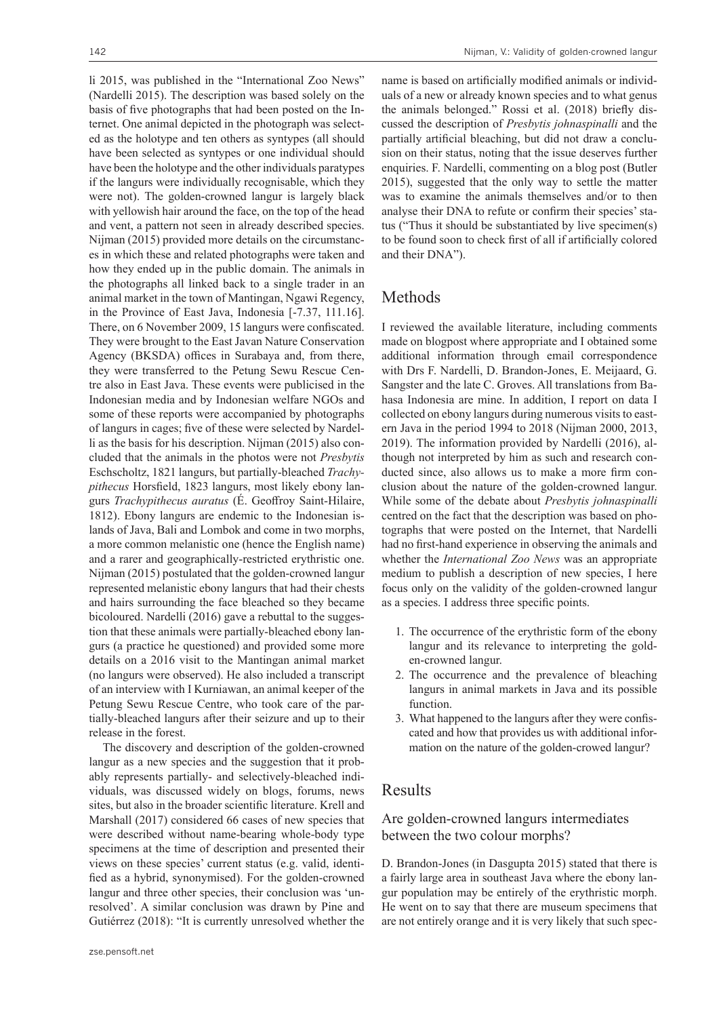li 2015, was published in the "International Zoo News" (Nardelli 2015). The description was based solely on the basis of five photographs that had been posted on the Internet. One animal depicted in the photograph was selected as the holotype and ten others as syntypes (all should have been selected as syntypes or one individual should have been the holotype and the other individuals paratypes if the langurs were individually recognisable, which they were not). The golden-crowned langur is largely black with yellowish hair around the face, on the top of the head and vent, a pattern not seen in already described species. Nijman (2015) provided more details on the circumstances in which these and related photographs were taken and how they ended up in the public domain. The animals in the photographs all linked back to a single trader in an animal market in the town of Mantingan, Ngawi Regency, in the Province of East Java, Indonesia [-7.37, 111.16]. There, on 6 November 2009, 15 langurs were confiscated. They were brought to the East Javan Nature Conservation Agency (BKSDA) offices in Surabaya and, from there, they were transferred to the Petung Sewu Rescue Centre also in East Java. These events were publicised in the Indonesian media and by Indonesian welfare NGOs and some of these reports were accompanied by photographs of langurs in cages; five of these were selected by Nardelli as the basis for his description. Nijman (2015) also concluded that the animals in the photos were not *Presbytis* Eschscholtz, 1821 langurs, but partially-bleached *Trachypithecus* Horsfield, 1823 langurs, most likely ebony langurs *Trachypithecus auratus* (É. Geoffroy Saint-Hilaire, 1812). Ebony langurs are endemic to the Indonesian islands of Java, Bali and Lombok and come in two morphs, a more common melanistic one (hence the English name) and a rarer and geographically-restricted erythristic one. Nijman (2015) postulated that the golden-crowned langur represented melanistic ebony langurs that had their chests and hairs surrounding the face bleached so they became bicoloured. Nardelli (2016) gave a rebuttal to the suggestion that these animals were partially-bleached ebony langurs (a practice he questioned) and provided some more details on a 2016 visit to the Mantingan animal market (no langurs were observed). He also included a transcript of an interview with I Kurniawan, an animal keeper of the Petung Sewu Rescue Centre, who took care of the partially-bleached langurs after their seizure and up to their release in the forest.

The discovery and description of the golden-crowned langur as a new species and the suggestion that it probably represents partially- and selectively-bleached individuals, was discussed widely on blogs, forums, news sites, but also in the broader scientific literature. Krell and Marshall (2017) considered 66 cases of new species that were described without name-bearing whole-body type specimens at the time of description and presented their views on these species' current status (e.g. valid, identified as a hybrid, synonymised). For the golden-crowned langur and three other species, their conclusion was 'unresolved'. A similar conclusion was drawn by Pine and Gutiérrez (2018): "It is currently unresolved whether the

name is based on artificially modified animals or individuals of a new or already known species and to what genus the animals belonged." Rossi et al. (2018) briefly discussed the description of *Presbytis johnaspinalli* and the partially artificial bleaching, but did not draw a conclusion on their status, noting that the issue deserves further enquiries. F. Nardelli, commenting on a blog post (Butler 2015), suggested that the only way to settle the matter was to examine the animals themselves and/or to then analyse their DNA to refute or confirm their species' status ("Thus it should be substantiated by live specimen(s) to be found soon to check first of all if artificially colored and their DNA").

## Methods

I reviewed the available literature, including comments made on blogpost where appropriate and I obtained some additional information through email correspondence with Drs F. Nardelli, D. Brandon-Jones, E. Meijaard, G. Sangster and the late C. Groves. All translations from Bahasa Indonesia are mine. In addition, I report on data I collected on ebony langurs during numerous visits to eastern Java in the period 1994 to 2018 (Nijman 2000, 2013, 2019). The information provided by Nardelli (2016), although not interpreted by him as such and research conducted since, also allows us to make a more firm conclusion about the nature of the golden-crowned langur. While some of the debate about *Presbytis johnaspinalli* centred on the fact that the description was based on photographs that were posted on the Internet, that Nardelli had no first-hand experience in observing the animals and whether the *International Zoo News* was an appropriate medium to publish a description of new species, I here focus only on the validity of the golden-crowned langur as a species. I address three specific points.

- 1. The occurrence of the erythristic form of the ebony langur and its relevance to interpreting the golden-crowned langur.
- 2. The occurrence and the prevalence of bleaching langurs in animal markets in Java and its possible function.
- 3. What happened to the langurs after they were confiscated and how that provides us with additional information on the nature of the golden-crowed langur?

## Results

#### Are golden-crowned langurs intermediates between the two colour morphs?

D. Brandon-Jones (in Dasgupta 2015) stated that there is a fairly large area in southeast Java where the ebony langur population may be entirely of the erythristic morph. He went on to say that there are museum specimens that are not entirely orange and it is very likely that such spec-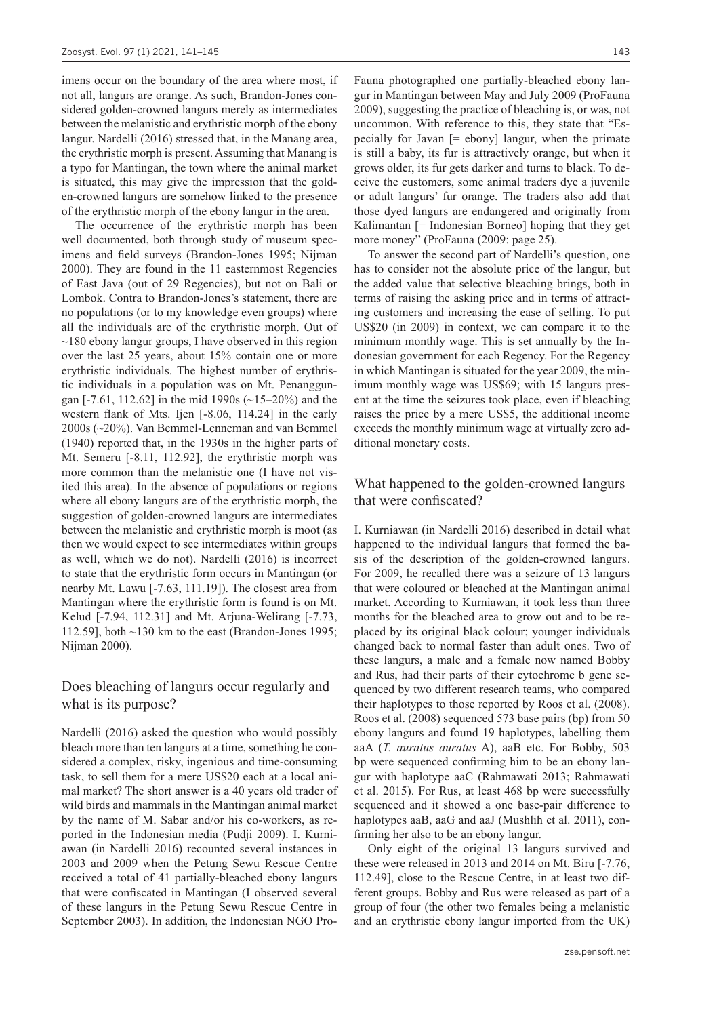imens occur on the boundary of the area where most, if not all, langurs are orange. As such, Brandon-Jones considered golden-crowned langurs merely as intermediates between the melanistic and erythristic morph of the ebony langur. Nardelli (2016) stressed that, in the Manang area, the erythristic morph is present. Assuming that Manang is a typo for Mantingan, the town where the animal market is situated, this may give the impression that the golden-crowned langurs are somehow linked to the presence of the erythristic morph of the ebony langur in the area.

The occurrence of the erythristic morph has been well documented, both through study of museum specimens and field surveys (Brandon-Jones 1995; Nijman 2000). They are found in the 11 easternmost Regencies of East Java (out of 29 Regencies), but not on Bali or Lombok. Contra to Brandon-Jones's statement, there are no populations (or to my knowledge even groups) where all the individuals are of the erythristic morph. Out of  $\sim$ 180 ebony langur groups, I have observed in this region over the last 25 years, about 15% contain one or more erythristic individuals. The highest number of erythristic individuals in a population was on Mt. Penanggungan [-7.61, 112.62] in the mid 1990s (~15–20%) and the western flank of Mts. Ijen [-8.06, 114.24] in the early 2000s (~20%). Van Bemmel-Lenneman and van Bemmel (1940) reported that, in the 1930s in the higher parts of Mt. Semeru [-8.11, 112.92], the erythristic morph was more common than the melanistic one (I have not visited this area). In the absence of populations or regions where all ebony langurs are of the erythristic morph, the suggestion of golden-crowned langurs are intermediates between the melanistic and erythristic morph is moot (as then we would expect to see intermediates within groups as well, which we do not). Nardelli (2016) is incorrect to state that the erythristic form occurs in Mantingan (or nearby Mt. Lawu [-7.63, 111.19]). The closest area from Mantingan where the erythristic form is found is on Mt. Kelud [-7.94, 112.31] and Mt. Arjuna-Welirang [-7.73, 112.59], both  $\sim$ 130 km to the east (Brandon-Jones 1995; Nijman 2000).

#### Does bleaching of langurs occur regularly and what is its purpose?

Nardelli (2016) asked the question who would possibly bleach more than ten langurs at a time, something he considered a complex, risky, ingenious and time-consuming task, to sell them for a mere US\$20 each at a local animal market? The short answer is a 40 years old trader of wild birds and mammals in the Mantingan animal market by the name of M. Sabar and/or his co-workers, as reported in the Indonesian media (Pudji 2009). I. Kurniawan (in Nardelli 2016) recounted several instances in 2003 and 2009 when the Petung Sewu Rescue Centre received a total of 41 partially-bleached ebony langurs that were confiscated in Mantingan (I observed several of these langurs in the Petung Sewu Rescue Centre in September 2003). In addition, the Indonesian NGO Pro-

Fauna photographed one partially-bleached ebony langur in Mantingan between May and July 2009 (ProFauna 2009), suggesting the practice of bleaching is, or was, not uncommon. With reference to this, they state that "Especially for Javan  $[=$  ebony] langur, when the primate is still a baby, its fur is attractively orange, but when it grows older, its fur gets darker and turns to black. To deceive the customers, some animal traders dye a juvenile or adult langurs' fur orange. The traders also add that those dyed langurs are endangered and originally from Kalimantan [= Indonesian Borneo] hoping that they get more money" (ProFauna (2009: page 25).

To answer the second part of Nardelli's question, one has to consider not the absolute price of the langur, but the added value that selective bleaching brings, both in terms of raising the asking price and in terms of attracting customers and increasing the ease of selling. To put US\$20 (in 2009) in context, we can compare it to the minimum monthly wage. This is set annually by the Indonesian government for each Regency. For the Regency in which Mantingan is situated for the year 2009, the minimum monthly wage was US\$69; with 15 langurs present at the time the seizures took place, even if bleaching raises the price by a mere US\$5, the additional income exceeds the monthly minimum wage at virtually zero additional monetary costs.

#### What happened to the golden-crowned langurs that were confiscated?

I. Kurniawan (in Nardelli 2016) described in detail what happened to the individual langurs that formed the basis of the description of the golden-crowned langurs. For 2009, he recalled there was a seizure of 13 langurs that were coloured or bleached at the Mantingan animal market. According to Kurniawan, it took less than three months for the bleached area to grow out and to be replaced by its original black colour; younger individuals changed back to normal faster than adult ones. Two of these langurs, a male and a female now named Bobby and Rus, had their parts of their cytochrome b gene sequenced by two different research teams, who compared their haplotypes to those reported by Roos et al. (2008). Roos et al. (2008) sequenced 573 base pairs (bp) from 50 ebony langurs and found 19 haplotypes, labelling them aaA (*T. auratus auratus* A), aaB etc. For Bobby, 503 bp were sequenced confirming him to be an ebony langur with haplotype aaC (Rahmawati 2013; Rahmawati et al. 2015). For Rus, at least 468 bp were successfully sequenced and it showed a one base-pair difference to haplotypes aaB, aaG and aaJ (Mushlih et al. 2011), confirming her also to be an ebony langur.

Only eight of the original 13 langurs survived and these were released in 2013 and 2014 on Mt. Biru [-7.76, 112.49], close to the Rescue Centre, in at least two different groups. Bobby and Rus were released as part of a group of four (the other two females being a melanistic and an erythristic ebony langur imported from the UK)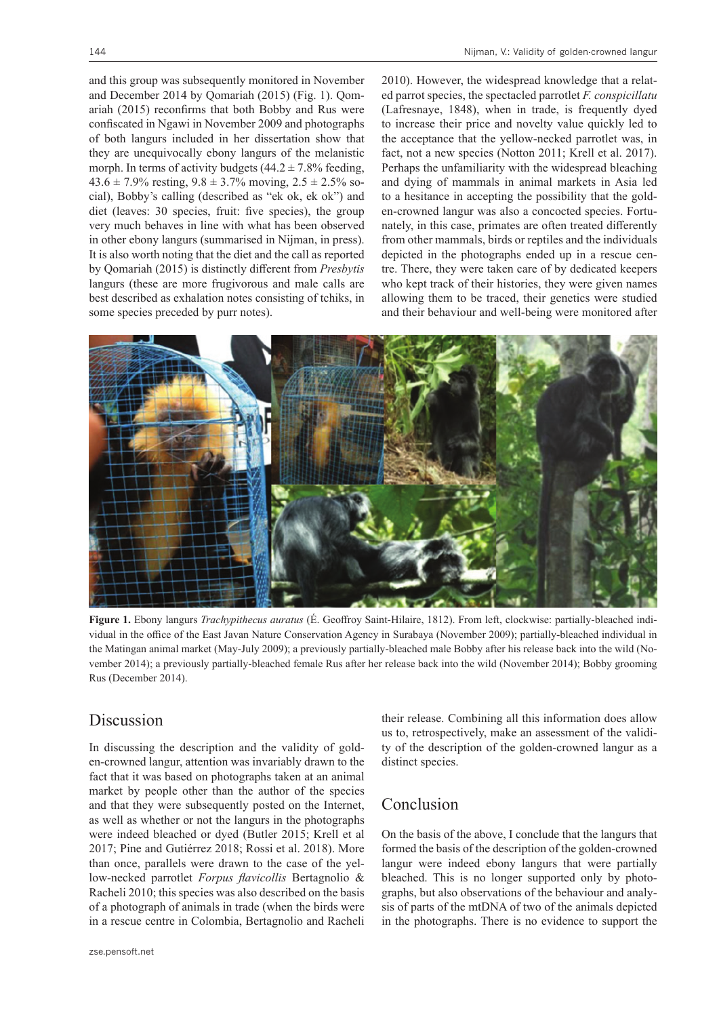and this group was subsequently monitored in November and December 2014 by Qomariah (2015) (Fig. 1). Qomariah (2015) reconfirms that both Bobby and Rus were confiscated in Ngawi in November 2009 and photographs of both langurs included in her dissertation show that they are unequivocally ebony langurs of the melanistic morph. In terms of activity budgets  $(44.2 \pm 7.8\%$  feeding,  $43.6 \pm 7.9\%$  resting,  $9.8 \pm 3.7\%$  moving,  $2.5 \pm 2.5\%$  social), Bobby's calling (described as "ek ok, ek ok") and diet (leaves: 30 species, fruit: five species), the group very much behaves in line with what has been observed in other ebony langurs (summarised in Nijman, in press). It is also worth noting that the diet and the call as reported by Qomariah (2015) is distinctly different from *Presbytis* langurs (these are more frugivorous and male calls are best described as exhalation notes consisting of tchiks, in some species preceded by purr notes).

2010). However, the widespread knowledge that a related parrot species, the spectacled parrotlet *F. conspicillatu* (Lafresnaye, 1848), when in trade, is frequently dyed to increase their price and novelty value quickly led to the acceptance that the yellow-necked parrotlet was, in fact, not a new species (Notton 2011; Krell et al. 2017). Perhaps the unfamiliarity with the widespread bleaching and dying of mammals in animal markets in Asia led to a hesitance in accepting the possibility that the golden-crowned langur was also a concocted species. Fortunately, in this case, primates are often treated differently from other mammals, birds or reptiles and the individuals depicted in the photographs ended up in a rescue centre. There, they were taken care of by dedicated keepers who kept track of their histories, they were given names allowing them to be traced, their genetics were studied and their behaviour and well-being were monitored after



**Figure 1.** Ebony langurs *Trachypithecus auratus* (É. Geoffroy Saint-Hilaire, 1812). From left, clockwise: partially-bleached individual in the office of the East Javan Nature Conservation Agency in Surabaya (November 2009); partially-bleached individual in the Matingan animal market (May-July 2009); a previously partially-bleached male Bobby after his release back into the wild (November 2014); a previously partially-bleached female Rus after her release back into the wild (November 2014); Bobby grooming Rus (December 2014).

#### Discussion

In discussing the description and the validity of golden-crowned langur, attention was invariably drawn to the fact that it was based on photographs taken at an animal market by people other than the author of the species and that they were subsequently posted on the Internet, as well as whether or not the langurs in the photographs were indeed bleached or dyed (Butler 2015; Krell et al 2017; Pine and Gutiérrez 2018; Rossi et al. 2018). More than once, parallels were drawn to the case of the yellow-necked parrotlet *Forpus flavicollis* Bertagnolio & Racheli 2010; this species was also described on the basis of a photograph of animals in trade (when the birds were in a rescue centre in Colombia, Bertagnolio and Racheli

their release. Combining all this information does allow us to, retrospectively, make an assessment of the validity of the description of the golden-crowned langur as a distinct species.

## Conclusion

On the basis of the above, I conclude that the langurs that formed the basis of the description of the golden-crowned langur were indeed ebony langurs that were partially bleached. This is no longer supported only by photographs, but also observations of the behaviour and analysis of parts of the mtDNA of two of the animals depicted in the photographs. There is no evidence to support the